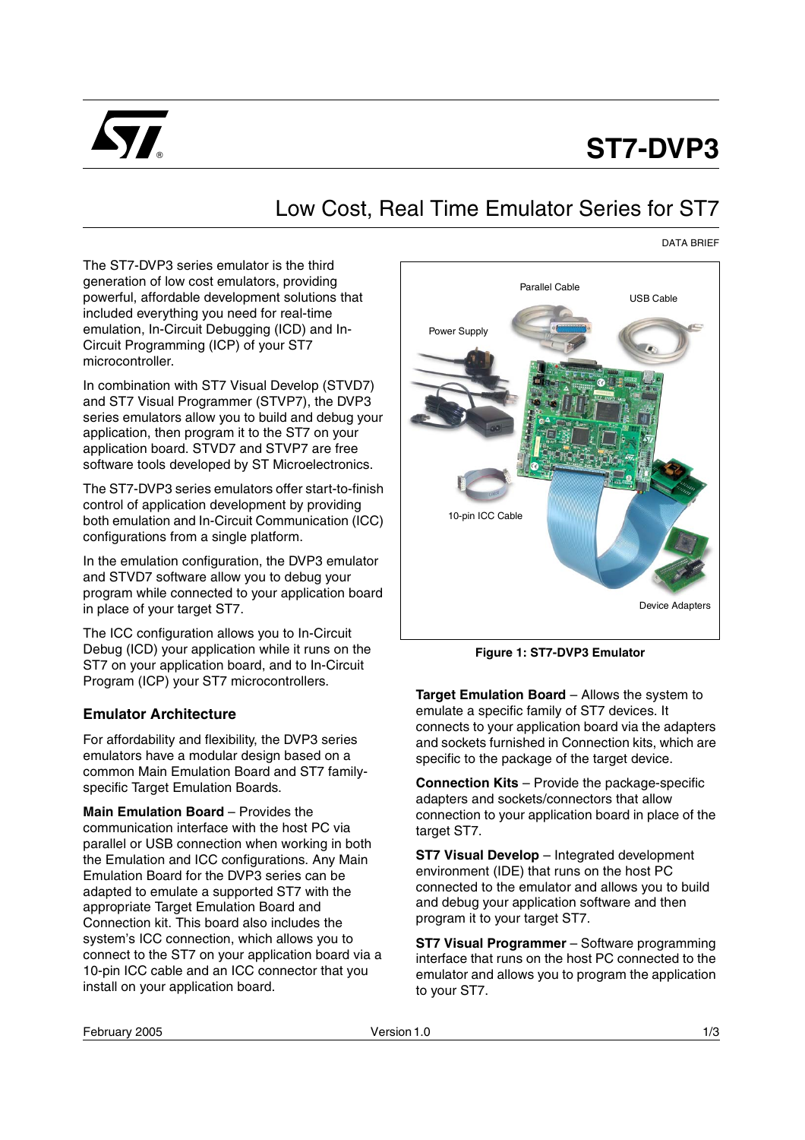

# **ST7-DVP3**

## Low Cost, Real Time Emulator Series for ST7

#### DATA BRIEF

The ST7-DVP3 series emulator is the third generation of low cost emulators, providing powerful, affordable development solutions that included everything you need for real-time emulation, In-Circuit Debugging (ICD) and In-Circuit Programming (ICP) of your ST7 microcontroller.

In combination with ST7 Visual Develop (STVD7) and ST7 Visual Programmer (STVP7), the DVP3 series emulators allow you to build and debug your application, then program it to the ST7 on your application board. STVD7 and STVP7 are free software tools developed by ST Microelectronics.

The ST7-DVP3 series emulators offer start-to-finish control of application development by providing both emulation and In-Circuit Communication (ICC) configurations from a single platform.

In the emulation configuration, the DVP3 emulator and STVD7 software allow you to debug your program while connected to your application board in place of your target ST7.

The ICC configuration allows you to In-Circuit Debug (ICD) your application while it runs on the ST7 on your application board, and to In-Circuit Program (ICP) your ST7 microcontrollers.

#### **Emulator Architecture**

For affordability and flexibility, the DVP3 series emulators have a modular design based on a common Main Emulation Board and ST7 familyspecific Target Emulation Boards.

**Main Emulation Board** – Provides the communication interface with the host PC via parallel or USB connection when working in both the Emulation and ICC configurations. Any Main Emulation Board for the DVP3 series can be adapted to emulate a supported ST7 with the appropriate Target Emulation Board and Connection kit. This board also includes the system's ICC connection, which allows you to connect to the ST7 on your application board via a 10-pin ICC cable and an ICC connector that you install on your application board.



**Figure 1: ST7-DVP3 Emulator**

**Target Emulation Board** – Allows the system to emulate a specific family of ST7 devices. It connects to your application board via the adapters and sockets furnished in Connection kits, which are specific to the package of the target device.

**Connection Kits** – Provide the package-specific adapters and sockets/connectors that allow connection to your application board in place of the target ST7.

**ST7 Visual Develop** – Integrated development environment (IDE) that runs on the host PC connected to the emulator and allows you to build and debug your application software and then program it to your target ST7.

**ST7 Visual Programmer** – Software programming interface that runs on the host PC connected to the emulator and allows you to program the application to your ST7.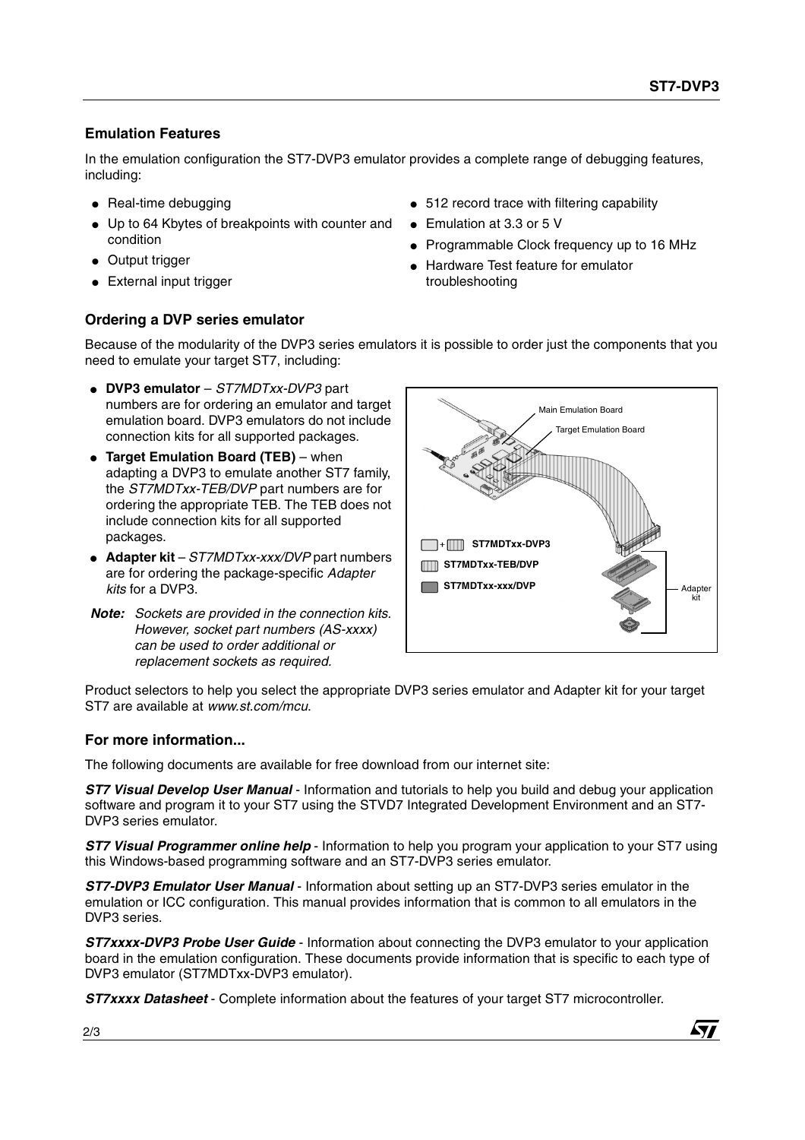### **Emulation Features**

In the emulation configuration the ST7-DVP3 emulator provides a complete range of debugging features, including:

- Real-time debugging
- Up to 64 Kbytes of breakpoints with counter and condition
- Output trigger
- External input trigger

#### **Ordering a DVP series emulator**

- 512 record trace with filtering capability
- Emulation at 3.3 or 5 V
- Programmable Clock frequency up to 16 MHz
- Hardware Test feature for emulator troubleshooting

Because of the modularity of the DVP3 series emulators it is possible to order just the components that you need to emulate your target ST7, including:

- **DVP3 emulator**  ST7MDTxx-DVP3 part numbers are for ordering an emulator and target emulation board. DVP3 emulators do not include connection kits for all supported packages.
- **Target Emulation Board (TEB)**  when adapting a DVP3 to emulate another ST7 family, the ST7MDTxx-TEB/DVP part numbers are for ordering the appropriate TEB. The TEB does not include connection kits for all supported packages.
- **Adapter kit**  ST7MDTxx-xxx/DVP part numbers are for ordering the package-specific Adapter kits for a DVP3.
- **Note:** Sockets are provided in the connection kits. However, socket part numbers (AS-xxxx) can be used to order additional or replacement sockets as required.



Product selectors to help you select the appropriate DVP3 series emulator and Adapter kit for your target ST7 are available at www.st.com/mcu.

#### **For more information...**

The following documents are available for free download from our internet site:

**ST7 Visual Develop User Manual -** Information and tutorials to help you build and debug your application software and program it to your ST7 using the STVD7 Integrated Development Environment and an ST7- DVP3 series emulator.

**ST7 Visual Programmer online help** - Information to help you program your application to your ST7 using this Windows-based programming software and an ST7-DVP3 series emulator.

**ST7-DVP3 Emulator User Manual** - Information about setting up an ST7-DVP3 series emulator in the emulation or ICC configuration. This manual provides information that is common to all emulators in the DVP3 series.

**ST7xxxx-DVP3 Probe User Guide** - Information about connecting the DVP3 emulator to your application board in the emulation configuration. These documents provide information that is specific to each type of DVP3 emulator (ST7MDTxx-DVP3 emulator).

**ST7xxxx Datasheet** - Complete information about the features of your target ST7 microcontroller.